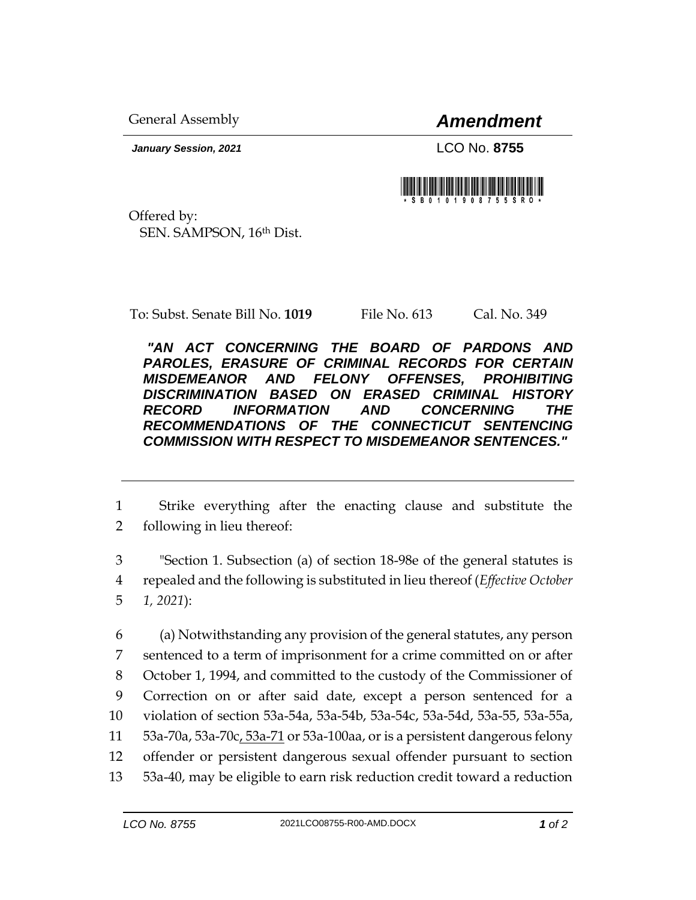General Assembly *Amendment*

*January Session, 2021* LCO No. **8755**

Offered by: SEN. SAMPSON, 16th Dist.

To: Subst. Senate Bill No. **1019** File No. 613 Cal. No. 349

*"AN ACT CONCERNING THE BOARD OF PARDONS AND PAROLES, ERASURE OF CRIMINAL RECORDS FOR CERTAIN MISDEMEANOR AND FELONY OFFENSES, PROHIBITING DISCRIMINATION BASED ON ERASED CRIMINAL HISTORY RECORD INFORMATION AND CONCERNING THE RECOMMENDATIONS OF THE CONNECTICUT SENTENCING COMMISSION WITH RESPECT TO MISDEMEANOR SENTENCES."* 

1 Strike everything after the enacting clause and substitute the 2 following in lieu thereof:

3 "Section 1. Subsection (a) of section 18-98e of the general statutes is 4 repealed and the following is substituted in lieu thereof (*Effective October*  5 *1, 2021*):

 (a) Notwithstanding any provision of the general statutes, any person sentenced to a term of imprisonment for a crime committed on or after October 1, 1994, and committed to the custody of the Commissioner of Correction on or after said date, except a person sentenced for a violation of section 53a-54a, 53a-54b, 53a-54c, 53a-54d, 53a-55, 53a-55a, 11 53a-70a, 53a-70c, 53a-71 or 53a-100aa, or is a persistent dangerous felony offender or persistent dangerous sexual offender pursuant to section 53a-40, may be eligible to earn risk reduction credit toward a reduction